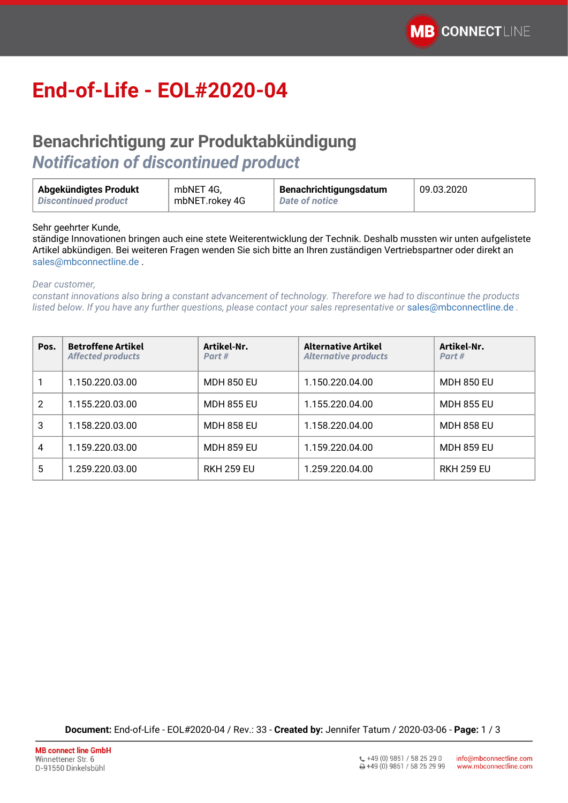## **End-of-Life - EOL#2020-04**

## **Benachrichtigung zur Produktabkündigung**  *Notification of discontinued product*

| Abgekündigtes Produkt | mbNET 4G,      | Benachrichtigungsdatum | 09.03.2020 |
|-----------------------|----------------|------------------------|------------|
| Discontinued product  | mbNET.rokey 4G | <b>Date of notice</b>  |            |

Sehr geehrter Kunde,

ständige Innovationen bringen auch eine stete Weiterentwicklung der Technik. Deshalb mussten wir unten aufgelistete Artikel abkündigen. Bei weiteren Fragen wenden Sie sich bitte an Ihren zuständigen Vertriebspartner oder direkt an [sales@mbconnectline.de](mailto:sales@mbconnectline.de) .

*Dear customer,*

*constant innovations also bring a constant advancement of technology. Therefore we had to discontinue the products listed below. If you have any further questions, please contact your sales representative or* [sales@mbconnectline.de](mailto:sales@mbconnectline.de) *.*

| Pos. | <b>Betroffene Artikel</b><br><b>Affected products</b> | Artikel-Nr.<br>Part# | <b>Alternative Artikel</b><br><b>Alternative products</b> | Artikel-Nr.<br>Part# |
|------|-------------------------------------------------------|----------------------|-----------------------------------------------------------|----------------------|
|      | 1.150.220.03.00                                       | <b>MDH 850 EU</b>    | 1.150.220.04.00                                           | <b>MDH 850 EU</b>    |
| 2    | 1.155.220.03.00                                       | <b>MDH 855 EU</b>    | 1.155.220.04.00                                           | <b>MDH 855 EU</b>    |
| 3    | 1.158.220.03.00                                       | <b>MDH 858 EU</b>    | 1.158.220.04.00                                           | <b>MDH 858 EU</b>    |
| 4    | 1.159.220.03.00                                       | <b>MDH 859 EU</b>    | 1.159.220.04.00                                           | <b>MDH 859 EU</b>    |
| 5    | 1.259.220.03.00                                       | <b>RKH 259 EU</b>    | 1.259.220.04.00                                           | <b>RKH 259 EU</b>    |

**Document:** End-of-Life - EOL#2020-04 / Rev.: 33 - **Created by:** Jennifer Tatum / 2020-03-06 - **Page:** 1 / 3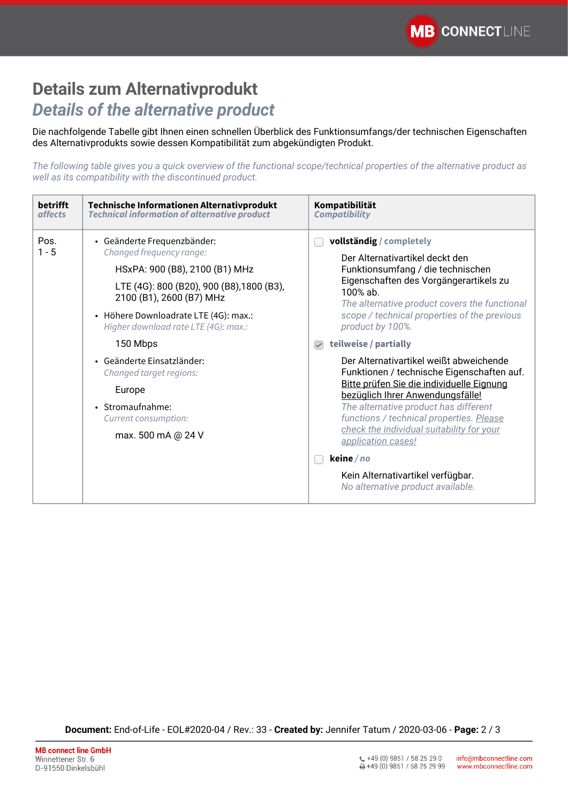## **Details zum Alternativprodukt** *Details of the alternative product*

Die nachfolgende Tabelle gibt Ihnen einen schnellen Überblick des Funktionsumfangs/der technischen Eigenschaften des Alternativprodukts sowie dessen Kompatibilität zum abgekündigten Produkt.

*The following table gives you a quick overview of the functional scope/technical properties of the alternative product as well as its compatibility with the discontinued product.*

| <b>betrifft</b><br><i>affects</i> | Technische Informationen Alternativprodukt<br><b>Technical information of alternative product</b>                                                                                                                                                   | Kompatibilität<br><b>Compatibility</b>                                                                                                                                                                                                                                        |  |  |
|-----------------------------------|-----------------------------------------------------------------------------------------------------------------------------------------------------------------------------------------------------------------------------------------------------|-------------------------------------------------------------------------------------------------------------------------------------------------------------------------------------------------------------------------------------------------------------------------------|--|--|
| Pos.<br>$1 - 5$                   | • Geänderte Frequenzbänder:<br>Changed frequency range:<br>HSxPA: 900 (B8), 2100 (B1) MHz<br>LTE (4G): 800 (B20), 900 (B8), 1800 (B3),<br>2100 (B1), 2600 (B7) MHz<br>· Höhere Downloadrate LTE (4G): max.:<br>Higher download rate LTE (4G): max.: | vollständig / completely<br>Der Alternativartikel deckt den<br>Funktionsumfang / die technischen<br>Eigenschaften des Vorgängerartikels zu<br>$100%$ ab.<br>The alternative product covers the functional<br>scope / technical properties of the previous<br>product by 100%. |  |  |
| 150 Mbps                          |                                                                                                                                                                                                                                                     | teilweise / partially                                                                                                                                                                                                                                                         |  |  |
|                                   | • Geänderte Finsatzländer:<br>Changed target regions:                                                                                                                                                                                               | Der Alternativartikel weißt abweichende<br>Funktionen / technische Eigenschaften auf.                                                                                                                                                                                         |  |  |
|                                   | Europe                                                                                                                                                                                                                                              | Bitte prüfen Sie die individuelle Eignung<br>bezüglich Ihrer Anwendungsfälle!<br>The alternative product has different<br>functions / technical properties. Please<br>check the individual suitability for your<br>application cases!                                         |  |  |
|                                   | · Stromaufnahme:<br>Current consumption:                                                                                                                                                                                                            |                                                                                                                                                                                                                                                                               |  |  |
|                                   | max. 500 mA @ 24 V                                                                                                                                                                                                                                  |                                                                                                                                                                                                                                                                               |  |  |
|                                   |                                                                                                                                                                                                                                                     | keine / no                                                                                                                                                                                                                                                                    |  |  |
|                                   |                                                                                                                                                                                                                                                     | Kein Alternativartikel verfügbar.<br>No alternative product available.                                                                                                                                                                                                        |  |  |

**Document:** End-of-Life - EOL#2020-04 / Rev.: 33 - **Created by:** Jennifer Tatum / 2020-03-06 - **Page:** 2 / 3